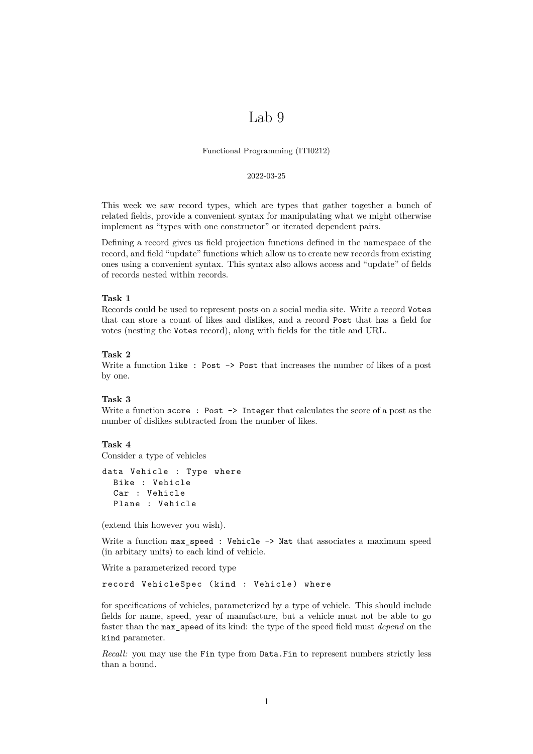# Lab 9

Functional Programming (ITI0212)

#### 2022-03-25

This week we saw record types, which are types that gather together a bunch of related fields, provide a convenient syntax for manipulating what we might otherwise implement as "types with one constructor" or iterated dependent pairs.

Defining a record gives us field projection functions defined in the namespace of the record, and field "update" functions which allow us to create new records from existing ones using a convenient syntax. This syntax also allows access and "update" of fields of records nested within records.

# **Task 1**

Records could be used to represent posts on a social media site. Write a record Votes that can store a count of likes and dislikes, and a record Post that has a field for votes (nesting the Votes record), along with fields for the title and URL.

#### **Task 2**

Write a function like: Post  $\rightarrow$  Post that increases the number of likes of a post by one.

# **Task 3**

Write a function score: Post  $\rightarrow$  Integer that calculates the score of a post as the number of dislikes subtracted from the number of likes.

# **Task 4**

Consider a type of vehicles

```
data Vehicle : Type where
Bike : Vehicle
Car : Vehicle
Plane : Vehicle
```
(extend this however you wish).

Write a function  $max\_speed$  : Vehicle -> Nat that associates a maximum speed (in arbitary units) to each kind of vehicle.

Write a parameterized record type

record VehicleSpec (kind : Vehicle) where

for specifications of vehicles, parameterized by a type of vehicle. This should include fields for name, speed, year of manufacture, but a vehicle must not be able to go faster than the max\_speed of its kind: the type of the speed field must *depend* on the kind parameter.

*Recall:* you may use the Fin type from Data.Fin to represent numbers strictly less than a bound.